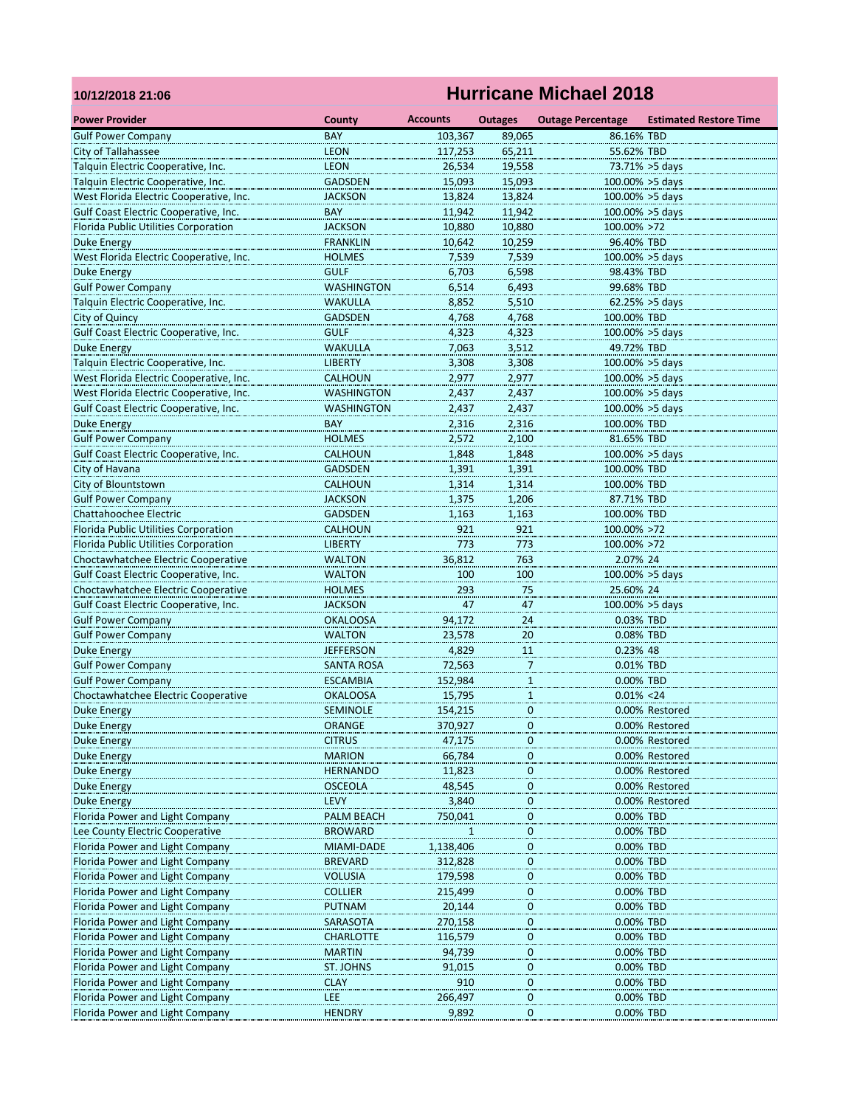## **10/12/2018 21:06**

## **Hurricane Michael 2018**

|                                                                    |                                  | <b>Accounts</b>  |                          |                                        |                                  |
|--------------------------------------------------------------------|----------------------------------|------------------|--------------------------|----------------------------------------|----------------------------------|
| <b>Power Provider</b><br><b>Gulf Power Company</b>                 | County<br><b>BAY</b>             | 103,367          | <b>Outages</b><br>89,065 | <b>Outage Percentage</b><br>86.16% TBD | <b>Estimated Restore Time</b>    |
| <b>City of Tallahassee</b>                                         | <b>LEON</b>                      | 117,253          | 65,211                   | 55.62% TBD                             |                                  |
| Talquin Electric Cooperative, Inc.                                 | <b>LEON</b>                      | 26,534           | 19,558                   |                                        | 73.71% > 5days                   |
| Talquin Electric Cooperative, Inc.                                 | <b>GADSDEN</b>                   | 15,093           | 15,093                   |                                        | 100.00% > 5days                  |
| West Florida Electric Cooperative, Inc.                            | <b>JACKSON</b>                   | 13,824           | 13,824                   |                                        | 100.00% > 5days                  |
| Gulf Coast Electric Cooperative, Inc.                              | BAY                              | 11,942           | 11,942                   |                                        | $100.00\% > 5$ days              |
|                                                                    | <b>JACKSON</b>                   | 10,880           | 10,880                   | 100.00% >72                            |                                  |
| Florida Public Utilities Corporation                               | <b>FRANKLIN</b>                  |                  | 10,259                   | 96.40% TBD                             |                                  |
| Duke Energy                                                        |                                  | 10,642           |                          |                                        |                                  |
| West Florida Electric Cooperative, Inc.                            | <b>HOLMES</b>                    | 7,539            | 7,539                    |                                        | 100.00% > 5days                  |
| <b>Duke Energy</b><br><b>Gulf Power Company</b>                    | <b>GULF</b>                      | 6,703            | 6,598                    | 98.43% TBD                             |                                  |
| Talquin Electric Cooperative, Inc.                                 | <b>WASHINGTON</b>                | 6,514            | 6,493                    | 99.68% TBD                             |                                  |
|                                                                    | <b>WAKULLA</b><br><b>GADSDEN</b> | 8,852            | 5,510<br>4,768           | 100.00% TBD                            | $62.25\% > 5$ days               |
| <b>City of Quincy</b><br>Gulf Coast Electric Cooperative, Inc.     | <b>GULF</b>                      | 4,768            |                          |                                        |                                  |
|                                                                    |                                  | 4,323            | 4,323                    |                                        | 100.00% > 5days                  |
| <b>Duke Energy</b>                                                 | <b>WAKULLA</b>                   | 7,063            | 3,512                    | 49.72% TBD                             |                                  |
| Talquin Electric Cooperative, Inc.                                 | <b>LIBERTY</b><br><b>CALHOUN</b> | 3,308            | 3,308                    | 100.00% > 5days<br>100.00% >5 days     |                                  |
| West Florida Electric Cooperative, Inc.                            |                                  | 2,977            | 2,977                    |                                        |                                  |
| West Florida Electric Cooperative, Inc.                            | <b>WASHINGTON</b>                | 2,437            | 2,437                    |                                        | 100.00% > 5days                  |
| Gulf Coast Electric Cooperative, Inc.                              | <b>WASHINGTON</b>                | 2,437            | 2,437                    | 100.00% >5 days                        |                                  |
| Duke Energy                                                        | BAY                              | 2,316            | 2,316                    | 100.00% TBD                            |                                  |
| <b>Gulf Power Company</b>                                          | <b>HOLMES</b>                    | 2,572            | 2,100                    | 81.65% TBD                             |                                  |
| Gulf Coast Electric Cooperative, Inc.                              | <b>CALHOUN</b>                   | 1,848            | 1,848                    | 100.00% > 5days                        |                                  |
| City of Havana                                                     | <b>GADSDEN</b>                   | 1,391            | 1,391                    | 100.00% TBD                            |                                  |
| City of Blountstown                                                | <b>CALHOUN</b>                   | 1,314            | 1,314                    | 100.00% TBD                            |                                  |
| <b>Gulf Power Company</b>                                          | <b>JACKSON</b>                   | 1,375            | 1,206                    | 87.71% TBD                             |                                  |
| Chattahoochee Electric                                             | <b>GADSDEN</b>                   | 1,163            | 1,163                    | 100.00% TBD                            |                                  |
| Florida Public Utilities Corporation                               | CALHOUN                          | 921              | 921                      | 100.00% >72                            |                                  |
| Florida Public Utilities Corporation                               | <b>LIBERTY</b>                   | 773              | 773                      | 100.00% >72                            |                                  |
| Choctawhatchee Electric Cooperative                                | <b>WALTON</b>                    | 36,812           | 763                      | 2.07% 24                               |                                  |
| Gulf Coast Electric Cooperative, Inc.                              | <b>WALTON</b>                    | 100              | 100                      |                                        | $100.00\% > 5$ days              |
| Choctawhatchee Electric Cooperative                                | <b>HOLMES</b>                    | 293              | 75                       | 25.60% 24                              |                                  |
| Gulf Coast Electric Cooperative, Inc.                              | <b>JACKSON</b>                   | 47               | 47                       |                                        | 100.00% > 5days                  |
| <b>Gulf Power Company</b>                                          | <b>OKALOOSA</b>                  | 94,172           | 24                       | 0.03% TBD                              |                                  |
| <b>Gulf Power Company</b>                                          | <b>WALTON</b>                    | 23,578           | 20                       | 0.08% TBD                              |                                  |
| Duke Energy                                                        | <b>JEFFERSON</b>                 | 4,829            | <b>11</b>                | 0.23% 48                               |                                  |
| <b>Gulf Power Company</b>                                          | <b>SANTA ROSA</b>                | 72,563           | 7                        | 0.01% TBD                              |                                  |
| <b>Gulf Power Company</b>                                          | <b>ESCAMBIA</b>                  | 152,984          | $\mathbf{1}$             | 0.00% TBD<br>$0.01\% < 24$             |                                  |
| Choctawhatchee Electric Cooperative                                | <b>OKALOOSA</b>                  | 15,795           | 1                        |                                        |                                  |
| <b>Duke Energy</b>                                                 | <b>SEMINOLE</b>                  | 154,215          | $\mathbf 0$              |                                        | 0.00% Restored                   |
| Duke Energy                                                        | ORANGE                           | 370,927          | 0                        |                                        | 0.00% Restored                   |
| Duke Energy                                                        | <b>CITRUS</b>                    | 47,175           | 0<br>0                   |                                        | 0.00% Restored                   |
| Duke Energy                                                        | <b>MARION</b>                    | 66,784           |                          |                                        | 0.00% Restored                   |
| <b>Duke Energy</b>                                                 | <b>HERNANDO</b>                  | 11,823<br>48,545 | 0                        |                                        | 0.00% Restored<br>0.00% Restored |
| Duke Energy                                                        | <b>OSCEOLA</b>                   |                  | 0                        |                                        | 0.00% Restored                   |
| Duke Energy                                                        | LEVY                             | 3,840            | 0                        | 0.00% TBD                              |                                  |
| Florida Power and Light Company<br>Lee County Electric Cooperative | PALM BEACH                       | 750,041          | $\boldsymbol{0}$<br>0    | 0.00% TBD                              |                                  |
| Florida Power and Light Company                                    | <b>BROWARD</b><br>MIAMI-DADE     | 1,138,406        | 0                        | 0.00% TBD                              |                                  |
| Florida Power and Light Company                                    | <b>BREVARD</b>                   | 312,828          |                          | 0.00% TBD                              |                                  |
| Florida Power and Light Company                                    | <b>VOLUSIA</b>                   | 179,598          | 0                        | 0.00% TBD                              |                                  |
| Florida Power and Light Company                                    | <b>COLLIER</b>                   | 215,499          | $\bf{0}$                 | 0.00% TBD                              |                                  |
| Florida Power and Light Company                                    | <b>PUTNAM</b>                    | 20,144           | $\overline{0}$<br>0      | 0.00% TBD                              |                                  |
| Florida Power and Light Company                                    | SARASOTA                         | 270,158          | 0                        | 0.00% TBD                              |                                  |
| Florida Power and Light Company                                    | <b>CHARLOTTE</b>                 | 116,579          | 0                        | 0.00% TBD                              |                                  |
| Florida Power and Light Company                                    | <b>MARTIN</b>                    |                  | 0                        | 0.00% TBD                              |                                  |
| Florida Power and Light Company                                    | ST. JOHNS                        | 94,739<br>91,015 |                          | 0.00% TBD                              |                                  |
| Florida Power and Light Company                                    | <b>CLAY</b>                      | 910              | $\overline{0}$<br>0      | 0.00% TBD                              |                                  |
| Florida Power and Light Company                                    | LEE                              | 266,497          | $\mathbf 0$              | 0.00% TBD                              |                                  |
| Florida Power and Light Company                                    | <b>HENDRY</b>                    | 9,892            | 0                        | 0.00% TBD                              |                                  |
|                                                                    |                                  |                  |                          |                                        |                                  |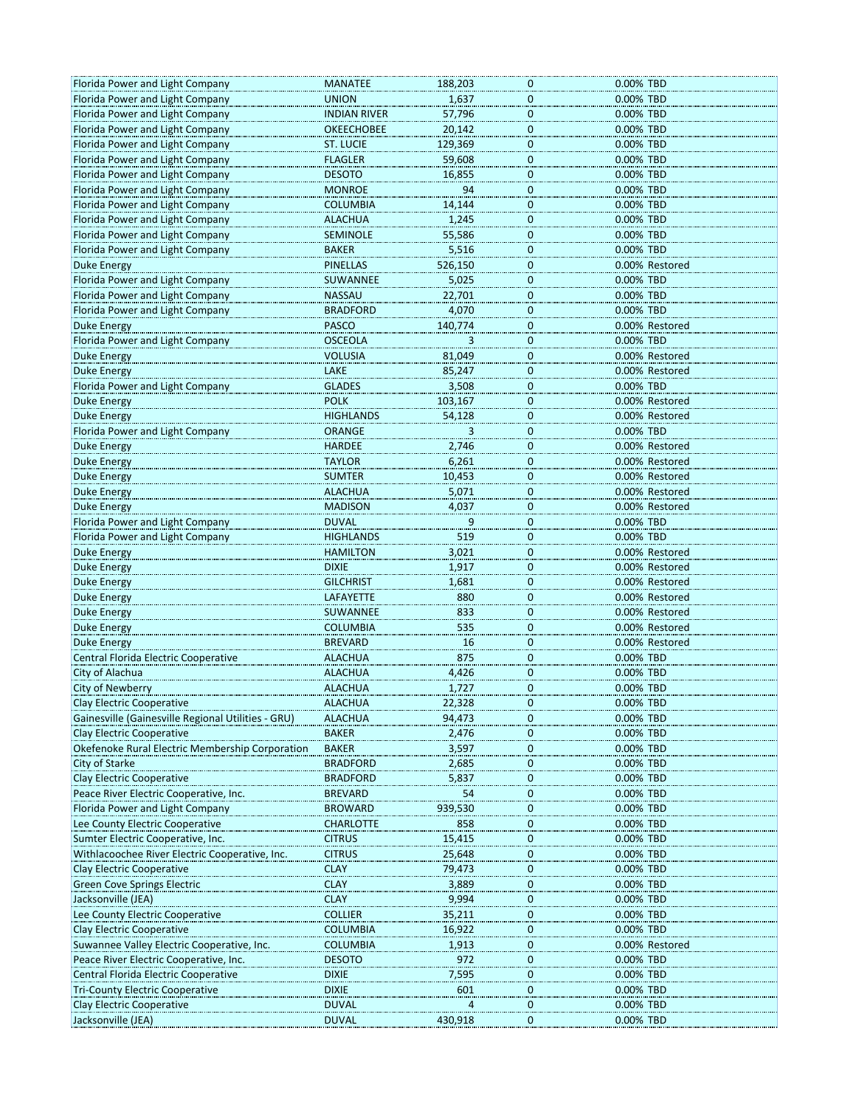| Florida Power and Light Company                    | <b>MANATEE</b>      | 188,203        | 0                       | 0.00% TBD      |
|----------------------------------------------------|---------------------|----------------|-------------------------|----------------|
| Florida Power and Light Company                    | <b>UNION</b>        | 1,637          | 0                       | 0.00% TBD      |
| Florida Power and Light Company                    | <b>INDIAN RIVER</b> | 57,796         | 0                       | 0.00% TBD      |
| Florida Power and Light Company                    | <b>OKEECHOBEE</b>   | 20,142         | $\pmb{0}$               | 0.00% TBD      |
| Florida Power and Light Company                    | <b>ST. LUCIE</b>    | 129,369        | $\mathbf 0$             | 0.00% TBD      |
| Florida Power and Light Company                    | <b>FLAGLER</b>      | 59,608         | 0                       | 0.00% TBD      |
|                                                    |                     |                |                         |                |
| Florida Power and Light Company                    | <b>DESOTO</b>       | 16,855         | 0                       | 0.00% TBD      |
| Florida Power and Light Company                    | <b>MONROE</b>       | 94             | 0                       | 0.00% TBD      |
| Florida Power and Light Company                    | <b>COLUMBIA</b>     | 14,144         | $\mathbf 0$             | 0.00% TBD      |
| Florida Power and Light Company                    | <b>ALACHUA</b>      | 1,245          | $\mathbf 0$             | 0.00% TBD      |
| Florida Power and Light Company                    | <b>SEMINOLE</b>     | 55,586         | 0                       | 0.00% TBD      |
| Florida Power and Light Company                    | <b>BAKER</b>        | 5,516          | 0                       | 0.00% TBD      |
| <b>Duke Energy</b>                                 | <b>PINELLAS</b>     | 526,150        | 0                       | 0.00% Restored |
| Florida Power and Light Company                    | SUWANNEE            | 5,025          | $\pmb{0}$               | 0.00% TBD      |
| Florida Power and Light Company                    | <b>NASSAU</b>       | 22,701         | $\mathbf 0$             | 0.00% TBD      |
| Florida Power and Light Company                    | <b>BRADFORD</b>     |                | 0                       | 0.00% TBD      |
|                                                    |                     | 4,070          |                         |                |
| Duke Energy                                        | <b>PASCO</b>        | 140,774        | 0                       | 0.00% Restored |
| Florida Power and Light Company                    | <b>OSCEOLA</b>      |                | 0                       | 0.00% TBD      |
| Duke Energy                                        | <b>VOLUSIA</b>      | 81,049         | $\mathbf 0$             | 0.00% Restored |
| <b>Duke Energy</b>                                 | LAKE                | 85,247         | $\mathbf 0$             | 0.00% Restored |
| Florida Power and Light Company                    | <b>GLADES</b>       | 3,508          | 0                       | 0.00% TBD      |
| <b>Duke Energy</b>                                 | <b>POLK</b>         | 103,167        | 0                       | 0.00% Restored |
| <b>Duke Energy</b>                                 | <b>HIGHLANDS</b>    | 54,128         | 0                       | 0.00% Restored |
| Florida Power and Light Company                    | <b>ORANGE</b>       | $\overline{3}$ | $\mathbf 0$             | 0.00% TBD      |
| Duke Energy                                        | <b>HARDEE</b>       | 2,746          | $\mathbf 0$             | 0.00% Restored |
|                                                    |                     |                |                         |                |
| Duke Energy                                        | <b>TAYLOR</b>       | 6,261          | 0                       | 0.00% Restored |
| Duke Energy                                        | <b>SUMTER</b>       | 10,453         | 0                       | 0.00% Restored |
| <b>Duke Energy</b>                                 | <b>ALACHUA</b>      | 5,071          | 0                       | 0.00% Restored |
| <b>Duke Energy</b>                                 | <b>MADISON</b>      | 4,037          | $\mathbf 0$             | 0.00% Restored |
| Florida Power and Light Company                    | <b>DUVAL</b>        | 9              | $\mathbf 0$             | 0.00% TBD      |
| Florida Power and Light Company                    | <b>HIGHLANDS</b>    | 519            | 0                       | 0.00% TBD      |
| Duke Energy                                        | <b>HAMILTON</b>     | 3,021          | 0                       | 0.00% Restored |
| <b>Duke Energy</b>                                 | <b>DIXIE</b>        | 1,917          | 0                       | 0.00% Restored |
| <b>Duke Energy</b>                                 | <b>GILCHRIST</b>    | 1,681          | $\mathbf 0$             | 0.00% Restored |
| Duke Energy                                        | LAFAYETTE           | 880            | $\mathbf 0$             | 0.00% Restored |
|                                                    |                     |                |                         |                |
| <b>Duke Energy</b>                                 | SUWANNEE            | 833            | 0                       | 0.00% Restored |
| Duke Energy                                        | <b>COLUMBIA</b>     | 535            | 0                       | 0.00% Restored |
| <b>Duke Energy</b>                                 | <b>BREVARD</b>      | 16             | 0                       | 0.00% Restored |
| Central Florida Electric Cooperative               | <b>ALACHUA</b>      | 875            | $\mathbf 0$             | 0.00% TBD      |
| City of Alachua                                    | <b>ALACHUA</b>      | 4,426          | $\mathbf 0$             | 0.00% TBD      |
| City of Newberry                                   | <b>ALACHUA</b>      | 1,727          | 0                       | 0.00% TBD      |
| Clay Electric Cooperative                          | ALACHUA             | 22,328         |                         | 0.00% IBD      |
| Gainesville (Gainesville Regional Utilities - GRU) | <b>ALACHUA</b>      | 94,473         | 0                       | 0.00% TBD      |
| Clay Electric Cooperative                          | <b>BAKER</b>        | 2,476          | $\pmb{0}$               | 0.00% TBD      |
| Okefenoke Rural Electric Membership Corporation    | <b>BAKER</b>        | 3,597          | $\overline{\mathbf{0}}$ | 0.00% TBD      |
| City of Starke                                     | <b>BRADFORD</b>     | 2,685          | 0                       | 0.00% TBD      |
| <b>Clay Electric Cooperative</b>                   | <b>BRADFORD</b>     | 5,837          | 0                       | 0.00% TBD      |
| Peace River Electric Cooperative, Inc.             |                     | 54             | 0                       |                |
|                                                    | <b>BREVARD</b>      |                |                         | 0.00% TBD      |
| Florida Power and Light Company                    | <b>BROWARD</b>      | 939,530        | $\mathbf 0$             | 0.00% TBD      |
| Lee County Electric Cooperative                    | <b>CHARLOTTE</b>    | 858            | $\pmb{0}$               | 0.00% TBD      |
| Sumter Electric Cooperative, Inc.                  | <b>CITRUS</b>       | 15,415         | 0                       | 0.00% TBD      |
| Withlacoochee River Electric Cooperative, Inc.     | <b>CITRUS</b>       | 25,648         | 0                       | 0.00% TBD      |
| <b>Clay Electric Cooperative</b>                   | <b>CLAY</b>         | 79,473         | 0                       | 0.00% TBD      |
| <b>Green Cove Springs Electric</b>                 | <b>CLAY</b>         | 3,889          | $\pmb{0}$               | 0.00% TBD      |
| Jacksonville (JEA)                                 | <b>CLAY</b>         | 9,994          | $\pmb{0}$               | 0.00% TBD      |
| Lee County Electric Cooperative                    | <b>COLLIER</b>      | 35,211         | 0                       | 0.00% TBD      |
| <b>Clay Electric Cooperative</b>                   | <b>COLUMBIA</b>     | 16,922         | 0                       | 0.00% TBD      |
| Suwannee Valley Electric Cooperative, Inc.         | <b>COLUMBIA</b>     | 1,913          | 0                       | 0.00% Restored |
|                                                    |                     | 972            |                         | 0.00% TBD      |
| Peace River Electric Cooperative, Inc.             | <b>DESOTO</b>       |                | $\pmb{0}$               |                |
| Central Florida Electric Cooperative               | <b>DIXIE</b>        | 7,595          | $\mathbf 0$             | 0.00% TBD      |
| <b>Tri-County Electric Cooperative</b>             | <b>DIXIE</b>        | 601            | 0                       | 0.00% TBD      |
| Clay Electric Cooperative                          | <b>DUVAL</b>        |                | 0                       | 0.00% TBD      |
| Jacksonville (JEA)                                 | <b>DUVAL</b>        | 430,918        | 0                       | 0.00% TBD      |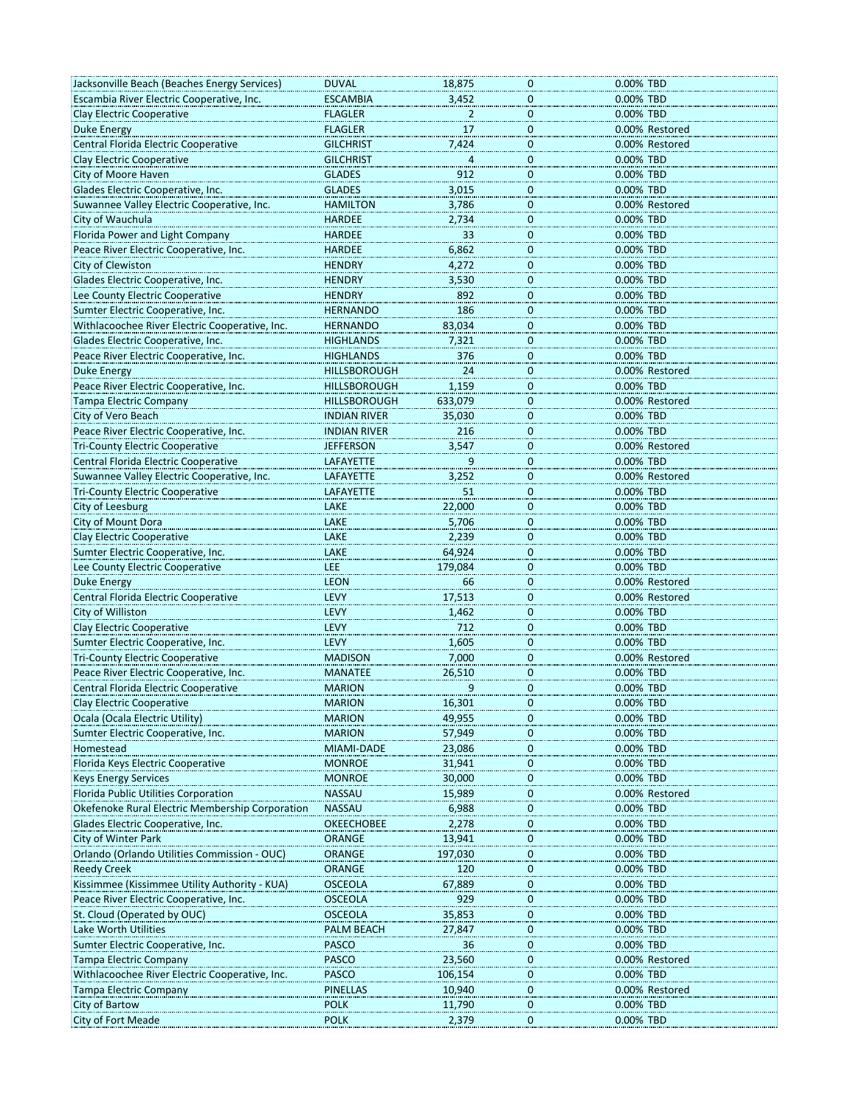| Jacksonville Beach (Beaches Energy Services)    | <b>DUVAL</b>        | 18,875         | 0                | 0.00% TBD      |
|-------------------------------------------------|---------------------|----------------|------------------|----------------|
| Escambia River Electric Cooperative, Inc.       | <b>ESCAMBIA</b>     | 3,452          | $\mathbf 0$      | 0.00% TBD      |
| Clay Electric Cooperative                       | <b>FLAGLER</b>      | $\overline{2}$ | $\pmb{0}$        | 0.00% TBD      |
|                                                 |                     |                |                  |                |
| <b>Duke Energy</b>                              | <b>FLAGLER</b>      | 17             | $\mathbf 0$      | 0.00% Restored |
| Central Florida Electric Cooperative            | <b>GILCHRIST</b>    | 7,424          | $\mathbf 0$      | 0.00% Restored |
| Clay Electric Cooperative                       | <b>GILCHRIST</b>    | 4              | $\overline{0}$   | 0.00% TBD      |
| City of Moore Haven                             | <b>GLADES</b>       | 912            | $\mathbf 0$      | 0.00% TBD      |
| Glades Electric Cooperative, Inc.               | <b>GLADES</b>       | 3,015          | $\mathbf 0$      | 0.00% TBD      |
| Suwannee Valley Electric Cooperative, Inc.      | <b>HAMILTON</b>     | 3,786          | $\mathbf 0$      | 0.00% Restored |
| City of Wauchula                                | <b>HARDEE</b>       | 2,734          | $\overline{0}$   | 0.00% TBD      |
| Florida Power and Light Company                 | <b>HARDEE</b>       | 33             | 0                | 0.00% TBD      |
| Peace River Electric Cooperative, Inc.          | <b>HARDEE</b>       | 6,862          | 0                | 0.00% TBD      |
| City of Clewiston                               | <b>HENDRY</b>       | 4,272          | $\mathbf 0$      | 0.00% TBD      |
| Glades Electric Cooperative, Inc.               | <b>HENDRY</b>       | 3,530          | $\mathbf 0$      | 0.00% TBD      |
| Lee County Electric Cooperative                 | <b>HENDRY</b>       | 892            | $\mathbf 0$      | 0.00% TBD      |
| Sumter Electric Cooperative, Inc.               | <b>HERNANDO</b>     | 186            | 0                | 0.00% TBD      |
| Withlacoochee River Electric Cooperative, Inc.  | <b>HERNANDO</b>     | 83,034         | 0                | 0.00% TBD      |
| Glades Electric Cooperative, Inc.               | <b>HIGHLANDS</b>    | 7,321          | 0                | 0.00% TBD      |
|                                                 |                     |                |                  |                |
| Peace River Electric Cooperative, Inc.          | <b>HIGHLANDS</b>    | 376            | $\mathbf 0$      | 0.00% TBD      |
| <b>Duke Energy</b>                              | HILLSBOROUGH        | 24             | $\overline{0}$   | 0.00% Restored |
| Peace River Electric Cooperative, Inc.          | HILLSBOROUGH        | 1,159          | $\overline{0}$   | 0.00% TBD      |
| <b>Tampa Electric Company</b>                   | <b>HILLSBOROUGH</b> | 633,079        | 0                | 0.00% Restored |
| City of Vero Beach                              | <b>INDIAN RIVER</b> | 35,030         | $\mathbf 0$      | 0.00% TBD      |
| Peace River Electric Cooperative, Inc.          | <b>INDIAN RIVER</b> | 216            | 0                | 0.00% TBD      |
| <b>Tri-County Electric Cooperative</b>          | <b>JEFFERSON</b>    | 3,547          | $\mathbf 0$      | 0.00% Restored |
| Central Florida Electric Cooperative            | LAFAYETTE           |                | $\overline{0}$   | 0.00% TBD      |
| Suwannee Valley Electric Cooperative, Inc.      | LAFAYETTE           | 3,252          | 0                | 0.00% Restored |
| <b>Tri-County Electric Cooperative</b>          | <b>LAFAYETTE</b>    | 51             | 0                | 0.00% TBD      |
| City of Leesburg                                | LAKE                | 22,000         | 0                | 0.00% TBD      |
| City of Mount Dora                              | LAKE                | 5,706          | $\overline{0}$   | 0.00% TBD      |
| <b>Clay Electric Cooperative</b>                | LAKE                | 2,239          | $\overline{0}$   | 0.00% TBD      |
| Sumter Electric Cooperative, Inc.               | LAKE                | 64,924         | 0                | 0.00% TBD      |
| Lee County Electric Cooperative                 | LEE                 | 179,084        | $\mathbf 0$      | 0.00% TBD      |
| <b>Duke Energy</b>                              | <b>LEON</b>         | 66             | $\mathbf 0$      | 0.00% Restored |
|                                                 |                     |                |                  |                |
| Central Florida Electric Cooperative            | LEVY                | 17,513         | $\mathbf 0$      | 0.00% Restored |
| City of Williston                               | LEVY                | 1,462          | $\overline{0}$   | 0.00% TBD      |
| <b>Clay Electric Cooperative</b>                | LEVY                | 712            | 0                | 0.00% TBD      |
| Sumter Electric Cooperative, Inc.               | LEVY                | 1,605          | 0                | 0.00% TBD      |
| <b>Tri-County Electric Cooperative</b>          | <b>MADISON</b>      | 7,000          | 0                | 0.00% Restored |
| Peace River Electric Cooperative, Inc.          | <b>MANATEE</b>      | 26,510         | 0                | 0.00% TBD      |
| Central Florida Electric Cooperative            | <b>MARION</b>       | 9              | 0                | 0.00% TBD      |
| Clay Electric Cooperative                       | <b>MARION</b>       | 16,301         |                  | 0.00% TBD      |
| Ocala (Ocala Electric Utility)                  | <b>MARION</b>       | 49,955         | 0                | 0.00% TBD      |
| Sumter Electric Cooperative, Inc.               | <b>MARION</b>       | 57,949         | $\mathbf 0$      | 0.00% TBD      |
| Homestead                                       | MIAMI-DADE          | 23,086         | 0                | 0.00% TBD      |
| Florida Keys Electric Cooperative               | <b>MONROE</b>       | 31,941         | $\boldsymbol{0}$ | 0.00% TBD      |
| <b>Keys Energy Services</b>                     | <b>MONROE</b>       | 30,000         | 0                | 0.00% TBD      |
| Florida Public Utilities Corporation            | <b>NASSAU</b>       | 15,989         | $\mathbf 0$      | 0.00% Restored |
| Okefenoke Rural Electric Membership Corporation | <b>NASSAU</b>       | 6,988          | $\mathbf 0$      | 0.00% TBD      |
| Glades Electric Cooperative, Inc.               | OKEECHOBEE          | 2,278          | $\mathbf 0$      | 0.00% TBD      |
| City of Winter Park                             | ORANGE              | 13,941         | 0                | 0.00% TBD      |
| Orlando (Orlando Utilities Commission - OUC)    | ORANGE              | 197,030        | 0                | 0.00% TBD      |
|                                                 | <b>ORANGE</b>       | 120            | 0                | 0.00% TBD      |
| <b>Reedy Creek</b>                              |                     |                |                  |                |
| Kissimmee (Kissimmee Utility Authority - KUA)   | <b>OSCEOLA</b>      | 67,889         | $\pmb{0}$        | 0.00% TBD      |
| Peace River Electric Cooperative, Inc.          | <b>OSCEOLA</b>      | 929            | 0                | 0.00% TBD      |
| St. Cloud (Operated by OUC)                     | OSCEOLA             | 35,853         | $\mathbf 0$      | 0.00% TBD      |
| Lake Worth Utilities                            | PALM BEACH          | 27,847         | 0                | 0.00% TBD      |
| Sumter Electric Cooperative, Inc.               | <b>PASCO</b>        | 36             | 0                | 0.00% TBD      |
| <b>Tampa Electric Company</b>                   | <b>PASCO</b>        | 23,560         | $\mathbf 0$      | 0.00% Restored |
| Withlacoochee River Electric Cooperative, Inc.  | <b>PASCO</b>        | 106,154        | 0                | 0.00% TBD      |
| <b>Tampa Electric Company</b>                   | <b>PINELLAS</b>     | 10,940         | 0                | 0.00% Restored |
| <b>City of Bartow</b>                           | <b>POLK</b>         | 11,790         | 0                | 0.00% TBD      |
| City of Fort Meade                              | <b>POLK</b>         | 2,379          | $\mathbf 0$      | 0.00% TBD      |